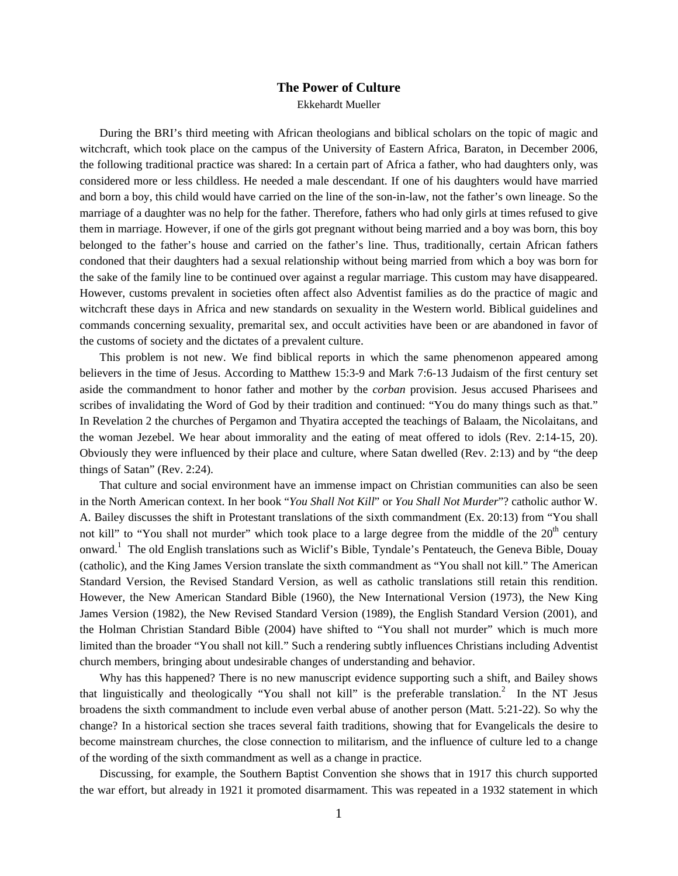## **The Power of Culture**

Ekkehardt Mueller

During the BRI's third meeting with African theologians and biblical scholars on the topic of magic and witchcraft, which took place on the campus of the University of Eastern Africa, Baraton, in December 2006, the following traditional practice was shared: In a certain part of Africa a father, who had daughters only, was considered more or less childless. He needed a male descendant. If one of his daughters would have married and born a boy, this child would have carried on the line of the son-in-law, not the father's own lineage. So the marriage of a daughter was no help for the father. Therefore, fathers who had only girls at times refused to give them in marriage. However, if one of the girls got pregnant without being married and a boy was born, this boy belonged to the father's house and carried on the father's line. Thus, traditionally, certain African fathers condoned that their daughters had a sexual relationship without being married from which a boy was born for the sake of the family line to be continued over against a regular marriage. This custom may have disappeared. However, customs prevalent in societies often affect also Adventist families as do the practice of magic and witchcraft these days in Africa and new standards on sexuality in the Western world. Biblical guidelines and commands concerning sexuality, premarital sex, and occult activities have been or are abandoned in favor of the customs of society and the dictates of a prevalent culture.

This problem is not new. We find biblical reports in which the same phenomenon appeared among believers in the time of Jesus. According to Matthew 15:3-9 and Mark 7:6-13 Judaism of the first century set aside the commandment to honor father and mother by the *corban* provision. Jesus accused Pharisees and scribes of invalidating the Word of God by their tradition and continued: "You do many things such as that." In Revelation 2 the churches of Pergamon and Thyatira accepted the teachings of Balaam, the Nicolaitans, and the woman Jezebel. We hear about immorality and the eating of meat offered to idols (Rev. 2:14-15, 20). Obviously they were influenced by their place and culture, where Satan dwelled (Rev. 2:13) and by "the deep things of Satan" (Rev. 2:24).

That culture and social environment have an immense impact on Christian communities can also be seen in the North American context. In her book "*You Shall Not Kill*" or *You Shall Not Murder*"? catholic author W. A. Bailey discusses the shift in Protestant translations of the sixth commandment (Ex. 20:13) from "You shall not kill" to "You shall not murder" which took place to a large degree from the middle of the  $20<sup>th</sup>$  century onward.<sup>1</sup> The old English translations such as Wiclif's Bible, Tyndale's Pentateuch, the Geneva Bible, Douay (catholic), and the King James Version translate the sixth commandment as "You shall not kill." The American Standard Version, the Revised Standard Version, as well as catholic translations still retain this rendition. However, the New American Standard Bible (1960), the New International Version (1973), the New King James Version (1982), the New Revised Standard Version (1989), the English Standard Version (2001), and the Holman Christian Standard Bible (2004) have shifted to "You shall not murder" which is much more limited than the broader "You shall not kill." Such a rendering subtly influences Christians including Adventist church members, bringing about undesirable changes of understanding and behavior.

Why has this happened? There is no new manuscript evidence supporting such a shift, and Bailey shows that linguistically and theologically "You shall not kill" is the preferable translation.<sup>2</sup> In the NT Jesus broadens the sixth commandment to include even verbal abuse of another person (Matt. 5:21-22). So why the change? In a historical section she traces several faith traditions, showing that for Evangelicals the desire to become mainstream churches, the close connection to militarism, and the influence of culture led to a change of the wording of the sixth commandment as well as a change in practice.

Discussing, for example, the Southern Baptist Convention she shows that in 1917 this church supported the war effort, but already in 1921 it promoted disarmament. This was repeated in a 1932 statement in which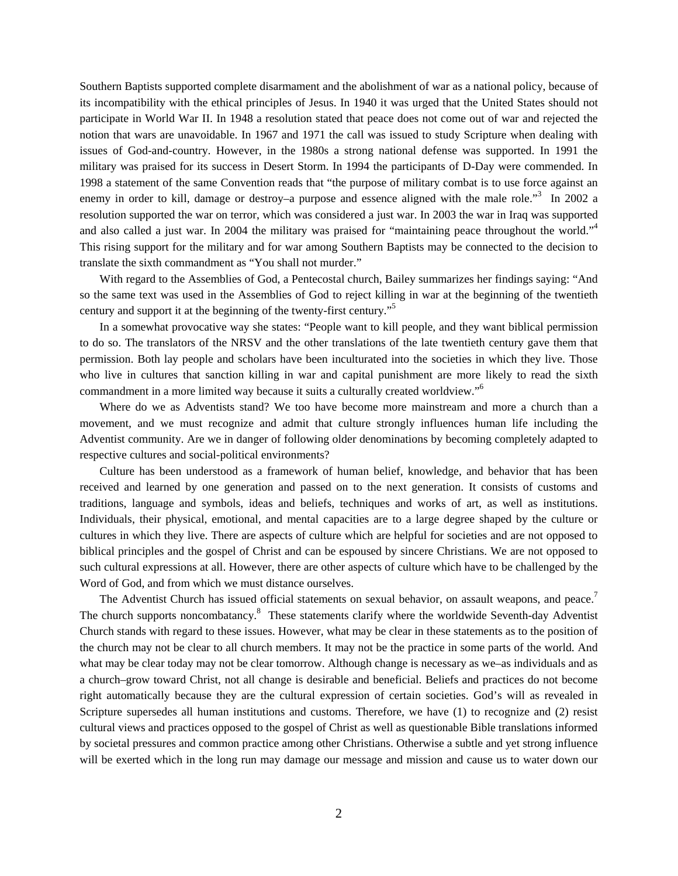Southern Baptists supported complete disarmament and the abolishment of war as a national policy, because of its incompatibility with the ethical principles of Jesus. In 1940 it was urged that the United States should not participate in World War II. In 1948 a resolution stated that peace does not come out of war and rejected the notion that wars are unavoidable. In 1967 and 1971 the call was issued to study Scripture when dealing with issues of God-and-country. However, in the 1980s a strong national defense was supported. In 1991 the military was praised for its success in Desert Storm. In 1994 the participants of D-Day were commended. In 1998 a statement of the same Convention reads that "the purpose of military combat is to use force against an enemy in order to kill, damage or destroy–a purpose and essence aligned with the male role."<sup>3</sup> In 2002 a resolution supported the war on terror, which was considered a just war. In 2003 the war in Iraq was supported and also called a just war. In 2004 the military was praised for "maintaining peace throughout the world."<sup>4</sup> This rising support for the military and for war among Southern Baptists may be connected to the decision to translate the sixth commandment as "You shall not murder."

With regard to the Assemblies of God, a Pentecostal church, Bailey summarizes her findings saying: "And so the same text was used in the Assemblies of God to reject killing in war at the beginning of the twentieth century and support it at the beginning of the twenty-first century."<sup>5</sup>

In a somewhat provocative way she states: "People want to kill people, and they want biblical permission to do so. The translators of the NRSV and the other translations of the late twentieth century gave them that permission. Both lay people and scholars have been inculturated into the societies in which they live. Those who live in cultures that sanction killing in war and capital punishment are more likely to read the sixth commandment in a more limited way because it suits a culturally created worldview."<sup>6</sup>

Where do we as Adventists stand? We too have become more mainstream and more a church than a movement, and we must recognize and admit that culture strongly influences human life including the Adventist community. Are we in danger of following older denominations by becoming completely adapted to respective cultures and social-political environments?

Culture has been understood as a framework of human belief, knowledge, and behavior that has been received and learned by one generation and passed on to the next generation. It consists of customs and traditions, language and symbols, ideas and beliefs, techniques and works of art, as well as institutions. Individuals, their physical, emotional, and mental capacities are to a large degree shaped by the culture or cultures in which they live. There are aspects of culture which are helpful for societies and are not opposed to biblical principles and the gospel of Christ and can be espoused by sincere Christians. We are not opposed to such cultural expressions at all. However, there are other aspects of culture which have to be challenged by the Word of God, and from which we must distance ourselves.

The Adventist Church has issued official statements on sexual behavior, on assault weapons, and peace.<sup>7</sup> The church supports noncombatancy.<sup>8</sup> These statements clarify where the worldwide Seventh-day Adventist Church stands with regard to these issues. However, what may be clear in these statements as to the position of the church may not be clear to all church members. It may not be the practice in some parts of the world. And what may be clear today may not be clear tomorrow. Although change is necessary as we–as individuals and as a church–grow toward Christ, not all change is desirable and beneficial. Beliefs and practices do not become right automatically because they are the cultural expression of certain societies. God's will as revealed in Scripture supersedes all human institutions and customs. Therefore, we have (1) to recognize and (2) resist cultural views and practices opposed to the gospel of Christ as well as questionable Bible translations informed by societal pressures and common practice among other Christians. Otherwise a subtle and yet strong influence will be exerted which in the long run may damage our message and mission and cause us to water down our